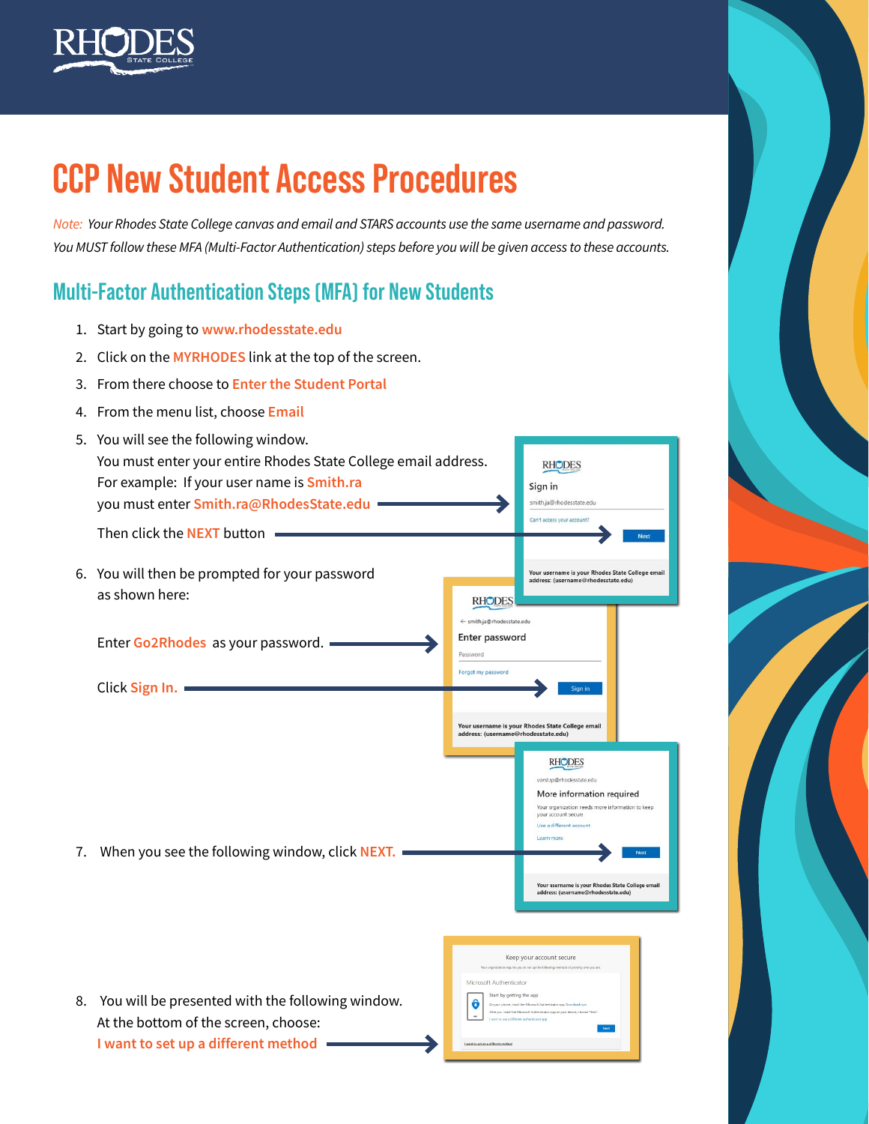

# **CCP New Student Access Procedures**

*Note: Your Rhodes State College canvas and email and STARS accounts use the same username and password. You MUST follow these MFA (Multi-Factor Authentication) steps before you will be given access to these accounts.*

## **Multi-Factor Authentication Steps (MFA) for New Students**

- 1. Start by going to **[www.rhodesstate.edu](http://www.rhodesstate.edu)**
- 2. Click on the **MYRHODES** link at the top of the screen.
- 3. From there choose to **Enter the Student Portal**
- 4. From the menu list, choose **Email**
- 5. You will see the following window. You must enter your entire Rhodes State College email address. **RHODES** For example: If your user name is **Smith.ra** Sign in you must enter **Smith.ra@RhodesState.edu** smith.ja@rh Can't access your account? Then click the **NEXT** button .<br>Your username is your Rhodes State College email<br>address: (username@rhodesstate.edu) 6. You will then be prompted for your password as shown here: **RHODES** ← smith.ia@rhodesstate.edu Enter password Enter **Go2Rhodes** as your password. Password Forgot my password Click **Sign In.** Your username is your Rhodes State College email<br>address: (username@rhodesstate.edu) **RHODES** sp@vhodesstate.edu More information required Your organization needs more information to keep your account secure Use a different acc 7. When you see the following window, click **NEXT.** Your username is your Rhodes State College email<br>address: (username@rhodesstate.edu) Keep your account secure Microsoft Authenticator Start by getting the app 8. You will be presented with the following window.  $\hat{\mathbf{o}}$ At the bottom of the screen, choose: **I want to set up a different method**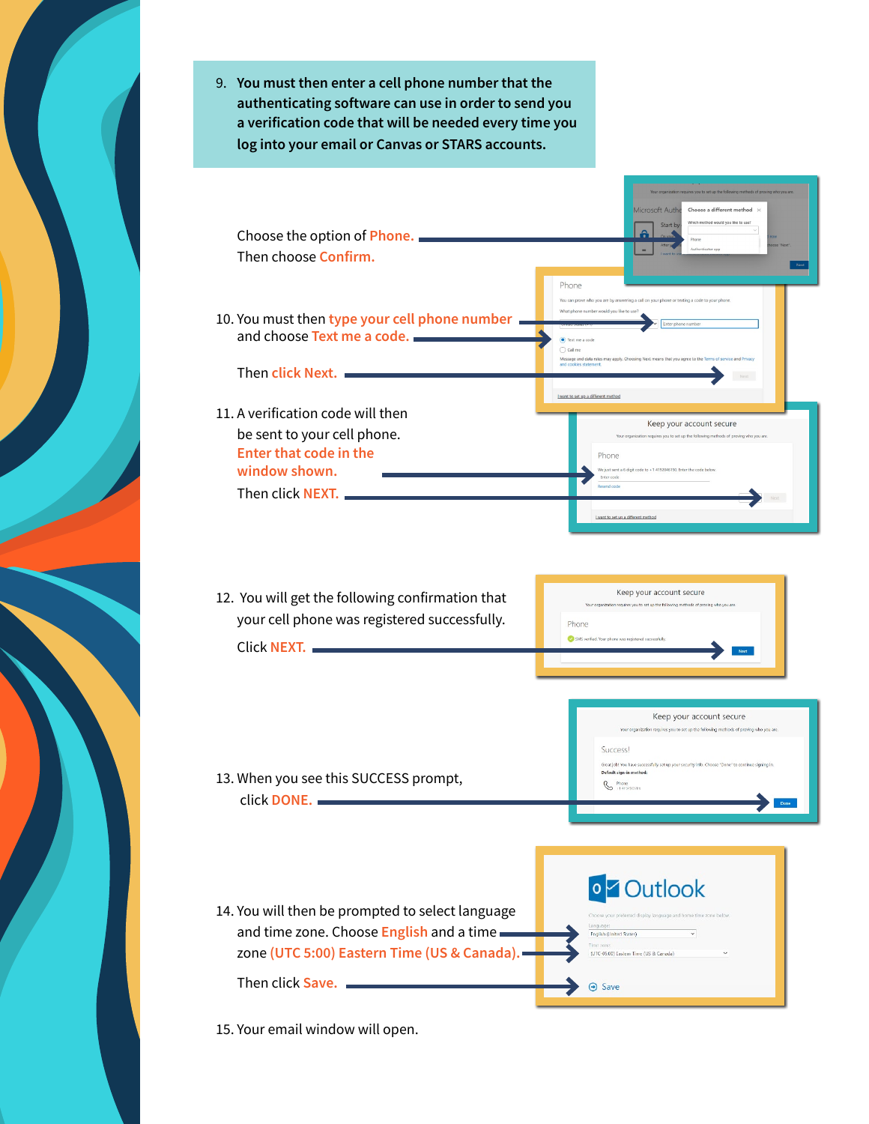9. **You must then enter a cell phone number that the authenticating software can use in order to send you a verification code that will be needed every time you log into your email or Canvas or STARS accounts.** 



15. Your email window will open.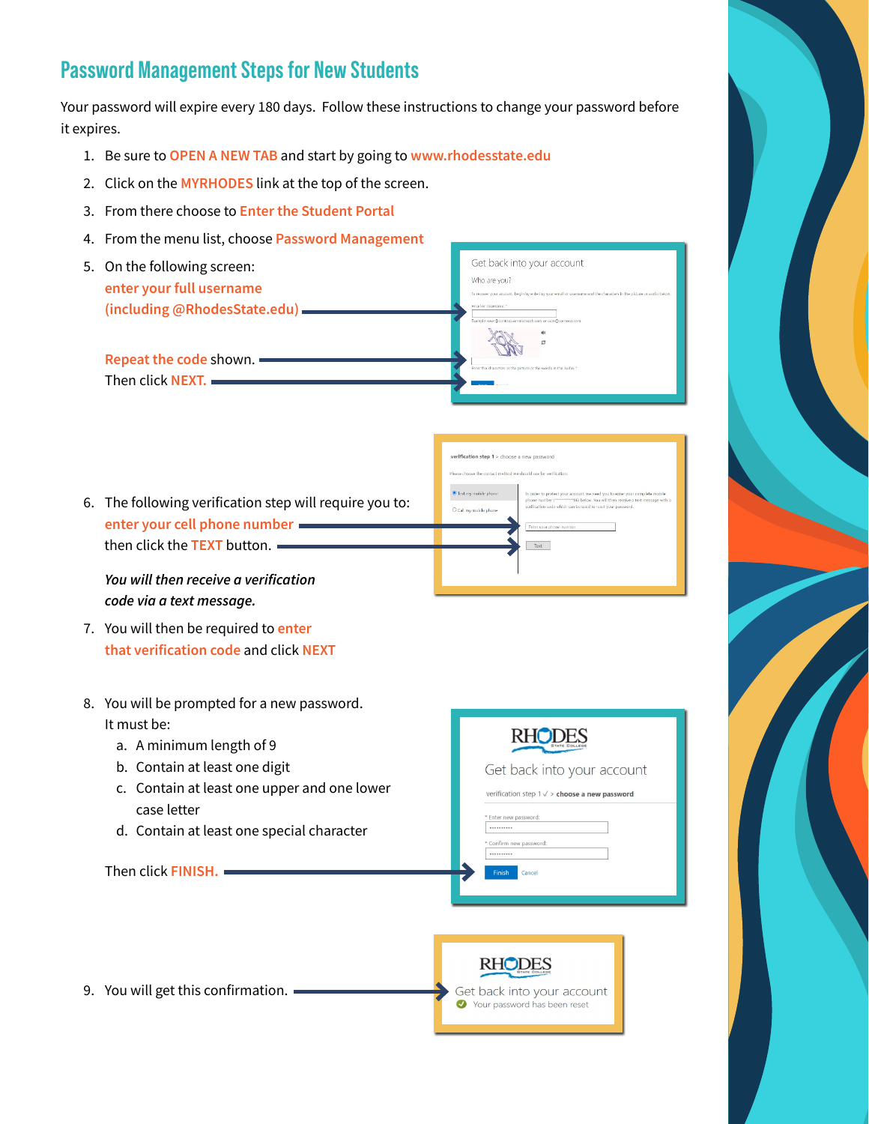### **Password Management Steps for New Students**

Your password will expire every 180 days. Follow these instructions to change your password before it expires.

- 1. Be sure to **OPEN A NEW TAB** and start by going to **www.rhodesstate.edu**
- 2. Click on the **MYRHODES** link at the top of the screen.
- 3. From there choose to **Enter the Student Portal**
- 4. From the menu list, choose **Password Management**
- Get back into your account 5. On the following screen: Who are you? **enter your full username (including @RhodesState.edu) Repeat the code** shown. Then click **NEXT.**
- 6. The following verification step will require you to: **enter your cell phone number**  then click the **TEXT** button.

*You will then receive a verification code via a text message.*

- 7. You will then be required to **enter that verification code** and click **NEXT**
- 8. You will be prompted for a new password. It must be:
	- a. A minimum length of 9
	- b. Contain at least one digit
	- c. Contain at least one upper and one lower case letter
	- d. Contain at least one special character

Then click **FINISH.**



verification step 1 > choose a new password

Text

9. You will get this confirmation.